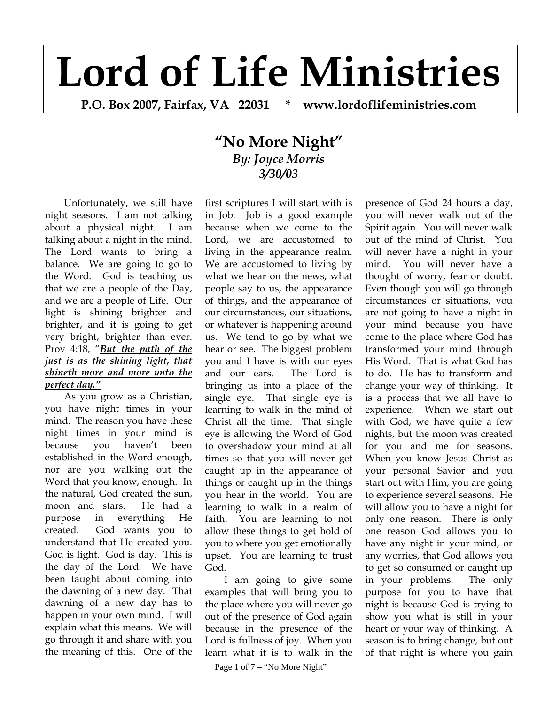## **Lord of Life Ministries**

**P.O. Box 2007, Fairfax, VA 22031 \* www.lordoflifeministries.com** 

## **"No More Night"** *By: Joyce Morris 3/30/03*

Unfortunately, we still have night seasons. I am not talking about a physical night. I am talking about a night in the mind. The Lord wants to bring a balance. We are going to go to the Word. God is teaching us that we are a people of the Day, and we are a people of Life. Our light is shining brighter and brighter, and it is going to get very bright, brighter than ever. Prov 4:18, "*But the path of the just is as the shining light, that shineth more and more unto the perfect day."*

As you grow as a Christian, you have night times in your mind. The reason you have these night times in your mind is because you haven't been established in the Word enough, nor are you walking out the Word that you know, enough. In the natural, God created the sun, moon and stars. He had a purpose in everything He created. God wants you to understand that He created you. God is light. God is day. This is the day of the Lord. We have been taught about coming into the dawning of a new day. That dawning of a new day has to happen in your own mind. I will explain what this means. We will go through it and share with you the meaning of this. One of the

first scriptures I will start with is in Job. Job is a good example because when we come to the Lord, we are accustomed to living in the appearance realm. We are accustomed to living by what we hear on the news, what people say to us, the appearance of things, and the appearance of our circumstances, our situations, or whatever is happening around us. We tend to go by what we hear or see. The biggest problem you and I have is with our eyes and our ears. The Lord is bringing us into a place of the single eye. That single eye is learning to walk in the mind of Christ all the time. That single eye is allowing the Word of God to overshadow your mind at all times so that you will never get caught up in the appearance of things or caught up in the things you hear in the world. You are learning to walk in a realm of faith. You are learning to not allow these things to get hold of you to where you get emotionally upset. You are learning to trust God.

I am going to give some examples that will bring you to the place where you will never go out of the presence of God again because in the presence of the Lord is fullness of joy. When you learn what it is to walk in the

Page 1 of 7 – "No More Night"

presence of God 24 hours a day, you will never walk out of the Spirit again. You will never walk out of the mind of Christ. You will never have a night in your mind. You will never have a thought of worry, fear or doubt. Even though you will go through circumstances or situations, you are not going to have a night in your mind because you have come to the place where God has transformed your mind through His Word. That is what God has to do. He has to transform and change your way of thinking. It is a process that we all have to experience. When we start out with God, we have quite a few nights, but the moon was created for you and me for seasons. When you know Jesus Christ as your personal Savior and you start out with Him, you are going to experience several seasons. He will allow you to have a night for only one reason. There is only one reason God allows you to have any night in your mind, or any worries, that God allows you to get so consumed or caught up in your problems. The only purpose for you to have that night is because God is trying to show you what is still in your heart or your way of thinking. A season is to bring change, but out of that night is where you gain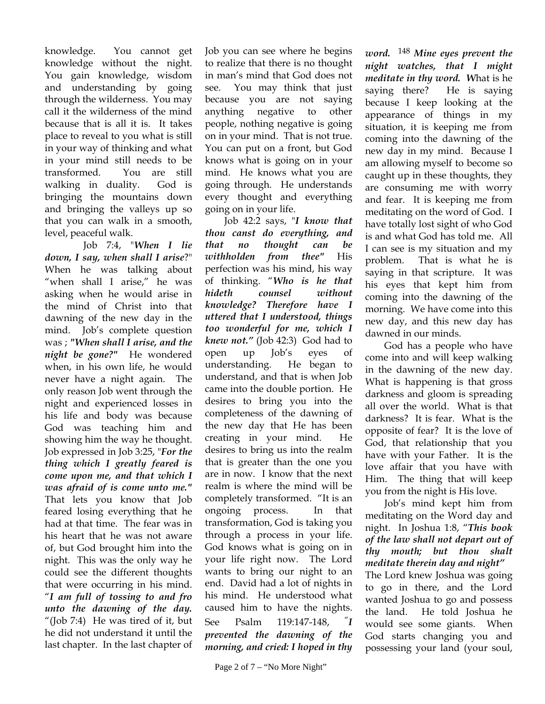knowledge. You cannot get knowledge without the night. You gain knowledge, wisdom and understanding by going through the wilderness. You may call it the wilderness of the mind because that is all it is. It takes place to reveal to you what is still in your way of thinking and what in your mind still needs to be transformed. You are still walking in duality. God is bringing the mountains down and bringing the valleys up so that you can walk in a smooth, level, peaceful walk.

 Job 7:4, "*When I lie down, I say, when shall I arise*?" When he was talking about "when shall I arise," he was asking when he would arise in the mind of Christ into that dawning of the new day in the mind. Job's complete question was ; *"When shall I arise, and the night be gone?"* He wondered when, in his own life, he would never have a night again. The only reason Job went through the night and experienced losses in his life and body was because God was teaching him and showing him the way he thought. Job expressed in Job 3:25, "*For the thing which I greatly feared is come upon me, and that which I was afraid of is come unto me."*  That lets you know that Job feared losing everything that he had at that time. The fear was in his heart that he was not aware of, but God brought him into the night. This was the only way he could see the different thoughts that were occurring in his mind. "*I am full of tossing to and fro unto the dawning of the day.* "(Job 7:4) He was tired of it, but he did not understand it until the last chapter. In the last chapter of

Job you can see where he begins to realize that there is no thought in man's mind that God does not see. You may think that just because you are not saying anything negative to other people, nothing negative is going on in your mind. That is not true. You can put on a front, but God knows what is going on in your mind. He knows what you are going through. He understands every thought and everything going on in your life.

Job 42:2 says, "*I know that thou canst do everything, and that no thought can be withholden from thee"* His perfection was his mind, his way of thinking. "*Who is he that hideth counsel without knowledge? Therefore have I uttered that I understood, things too wonderful for me, which I knew not."* (Job 42:3) God had to open up Job's eyes of understanding. He began to understand, and that is when Job came into the double portion. He desires to bring you into the completeness of the dawning of the new day that He has been creating in your mind. He desires to bring us into the realm that is greater than the one you are in now. I know that the next realm is where the mind will be completely transformed. "It is an ongoing process. In that transformation, God is taking you through a process in your life. God knows what is going on in your life right now. The Lord wants to bring our night to an end. David had a lot of nights in his mind. He understood what caused him to have the nights. See Psalm 119:147-148, "*I prevented the dawning of the morning, and cried: I hoped in thy* 

*word.* <sup>148</sup> *Mine eyes prevent the night watches, that I might meditate in thy word. W*hat is he saying there? He is saying because I keep looking at the appearance of things in my situation, it is keeping me from coming into the dawning of the new day in my mind. Because I am allowing myself to become so caught up in these thoughts, they are consuming me with worry and fear. It is keeping me from meditating on the word of God. I have totally lost sight of who God is and what God has told me. All I can see is my situation and my problem. That is what he is saying in that scripture. It was his eyes that kept him from coming into the dawning of the morning. We have come into this new day, and this new day has dawned in our minds.

God has a people who have come into and will keep walking in the dawning of the new day. What is happening is that gross darkness and gloom is spreading all over the world. What is that darkness? It is fear. What is the opposite of fear? It is the love of God, that relationship that you have with your Father. It is the love affair that you have with Him. The thing that will keep you from the night is His love.

 Job's mind kept him from meditating on the Word day and night. In Joshua 1:8, "*This book of the law shall not depart out of thy mouth; but thou shalt meditate therein day and night"* 

The Lord knew Joshua was going to go in there, and the Lord wanted Joshua to go and possess the land. He told Joshua he would see some giants. When God starts changing you and possessing your land (your soul,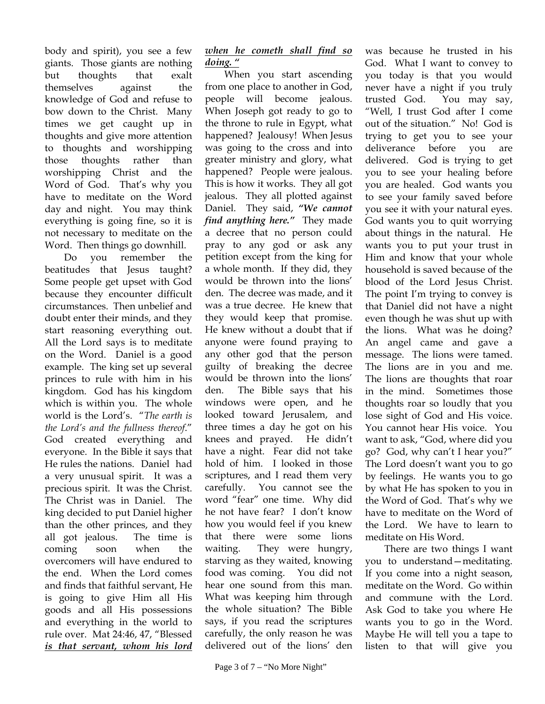body and spirit), you see a few giants. Those giants are nothing but thoughts that exalt themselves against the knowledge of God and refuse to bow down to the Christ. Many times we get caught up in thoughts and give more attention to thoughts and worshipping those thoughts rather than worshipping Christ and the Word of God. That's why you have to meditate on the Word day and night. You may think everything is going fine, so it is not necessary to meditate on the Word. Then things go downhill.

Do you remember the beatitudes that Jesus taught? Some people get upset with God because they encounter difficult circumstances. Then unbelief and doubt enter their minds, and they start reasoning everything out. All the Lord says is to meditate on the Word. Daniel is a good example. The king set up several princes to rule with him in his kingdom. God has his kingdom which is within you. The whole world is the Lord's. "*The earth is the Lord's and the fullness thereof*." God created everything and everyone. In the Bible it says that He rules the nations. Daniel had a very unusual spirit. It was a precious spirit. It was the Christ. The Christ was in Daniel. The king decided to put Daniel higher than the other princes, and they all got jealous. The time is coming soon when the overcomers will have endured to the end. When the Lord comes and finds that faithful servant, He is going to give Him all His goods and all His possessions and everything in the world to rule over. Mat 24:46, 47, "Blessed *is that servant, whom his lord* 

When you start ascending from one place to another in God, people will become jealous. When Joseph got ready to go to the throne to rule in Egypt, what happened? Jealousy! When Jesus was going to the cross and into greater ministry and glory, what happened? People were jealous. This is how it works. They all got jealous. They all plotted against Daniel. They said, *"We cannot find anything here."* They made a decree that no person could pray to any god or ask any petition except from the king for a whole month. If they did, they would be thrown into the lions' den. The decree was made, and it was a true decree. He knew that they would keep that promise. He knew without a doubt that if anyone were found praying to any other god that the person guilty of breaking the decree would be thrown into the lions' den. The Bible says that his windows were open, and he looked toward Jerusalem, and three times a day he got on his knees and prayed. He didn't have a night. Fear did not take hold of him. I looked in those scriptures, and I read them very carefully. You cannot see the word "fear" one time. Why did he not have fear? I don't know how you would feel if you knew that there were some lions waiting. They were hungry, starving as they waited, knowing food was coming. You did not hear one sound from this man. What was keeping him through the whole situation? The Bible says, if you read the scriptures carefully, the only reason he was delivered out of the lions' den

was because he trusted in his God. What I want to convey to you today is that you would never have a night if you truly trusted God. You may say, "Well, I trust God after I come out of the situation." No! God is trying to get you to see your deliverance before you are delivered. God is trying to get you to see your healing before you are healed. God wants you to see your family saved before you see it with your natural eyes. God wants you to quit worrying about things in the natural. He wants you to put your trust in Him and know that your whole household is saved because of the blood of the Lord Jesus Christ. The point I'm trying to convey is that Daniel did not have a night even though he was shut up with the lions. What was he doing? An angel came and gave a message. The lions were tamed. The lions are in you and me. The lions are thoughts that roar in the mind. Sometimes those thoughts roar so loudly that you lose sight of God and His voice. You cannot hear His voice. You want to ask, "God, where did you go? God, why can't I hear you?" The Lord doesn't want you to go by feelings. He wants you to go by what He has spoken to you in the Word of God. That's why we have to meditate on the Word of the Lord. We have to learn to meditate on His Word.

 There are two things I want you to understand—meditating. If you come into a night season, meditate on the Word. Go within and commune with the Lord. Ask God to take you where He wants you to go in the Word. Maybe He will tell you a tape to listen to that will give you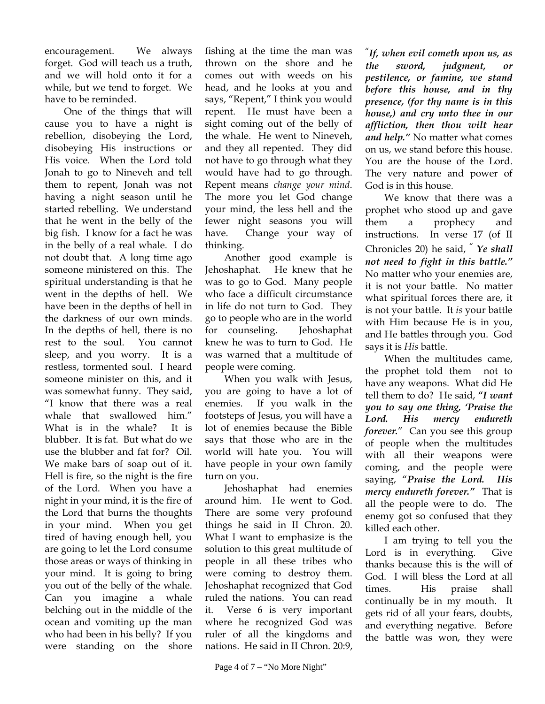encouragement. We always forget. God will teach us a truth, and we will hold onto it for a while, but we tend to forget. We have to be reminded.

 One of the things that will cause you to have a night is rebellion, disobeying the Lord, disobeying His instructions or His voice. When the Lord told Jonah to go to Nineveh and tell them to repent, Jonah was not having a night season until he started rebelling. We understand that he went in the belly of the big fish. I know for a fact he was in the belly of a real whale. I do not doubt that. A long time ago someone ministered on this. The spiritual understanding is that he went in the depths of hell. We have been in the depths of hell in the darkness of our own minds. In the depths of hell, there is no rest to the soul. You cannot sleep, and you worry. It is a restless, tormented soul. I heard someone minister on this, and it was somewhat funny. They said, "I know that there was a real whale that swallowed him." What is in the whale? It is blubber. It is fat. But what do we use the blubber and fat for? Oil. We make bars of soap out of it. Hell is fire, so the night is the fire of the Lord. When you have a night in your mind, it is the fire of the Lord that burns the thoughts in your mind. When you get tired of having enough hell, you are going to let the Lord consume those areas or ways of thinking in your mind. It is going to bring you out of the belly of the whale. Can you imagine a whale belching out in the middle of the ocean and vomiting up the man who had been in his belly? If you were standing on the shore

fishing at the time the man was thrown on the shore and he comes out with weeds on his head, and he looks at you and says, "Repent," I think you would repent. He must have been a sight coming out of the belly of the whale. He went to Nineveh, and they all repented. They did not have to go through what they would have had to go through. Repent means *change your mind*. The more you let God change your mind, the less hell and the fewer night seasons you will have. Change your way of thinking.

Another good example is Jehoshaphat. He knew that he was to go to God. Many people who face a difficult circumstance in life do not turn to God. They go to people who are in the world for counseling. Jehoshaphat knew he was to turn to God. He was warned that a multitude of people were coming.

When you walk with Jesus, you are going to have a lot of enemies. If you walk in the footsteps of Jesus, you will have a lot of enemies because the Bible says that those who are in the world will hate you. You will have people in your own family turn on you.

Jehoshaphat had enemies around him. He went to God. There are some very profound things he said in II Chron. 20. What I want to emphasize is the solution to this great multitude of people in all these tribes who were coming to destroy them. Jehoshaphat recognized that God ruled the nations. You can read it. Verse 6 is very important where he recognized God was ruler of all the kingdoms and nations. He said in II Chron. 20:9,

"*If, when evil cometh upon us, as the sword, judgment, or pestilence, or famine, we stand before this house, and in thy presence, (for thy name is in this house,) and cry unto thee in our affliction, then thou wilt hear and help."* No matter what comes on us, we stand before this house. You are the house of the Lord. The very nature and power of God is in this house.

We know that there was a prophet who stood up and gave them a prophecy and instructions. In verse 17 (of II Chronicles 20) he said, " *Ye shall not need to fight in this battle."* No matter who your enemies are, it is not your battle. No matter what spiritual forces there are, it is not your battle. It *is* your battle with Him because He is in you, and He battles through you. God says it is *His* battle.

When the multitudes came, the prophet told them not to have any weapons. What did He tell them to do? He said, **"***I want you to say one thing, 'Praise the Lord. His mercy endureth forever.*" Can you see this group of people when the multitudes with all their weapons were coming, and the people were saying, "*Praise the Lord. His mercy endureth forever."* That is all the people were to do. The enemy got so confused that they killed each other.

I am trying to tell you the Lord is in everything. Give thanks because this is the will of God. I will bless the Lord at all times. His praise shall continually be in my mouth. It gets rid of all your fears, doubts, and everything negative. Before the battle was won, they were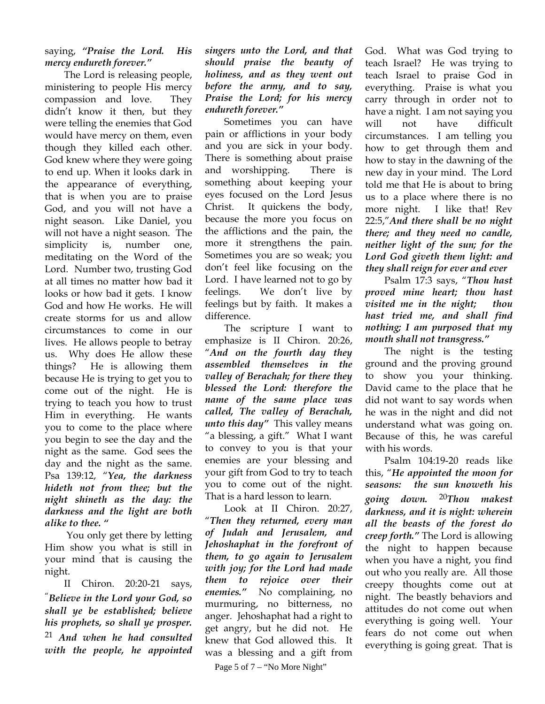## saying, *"Praise the Lord. His mercy endureth forever."*

The Lord is releasing people, ministering to people His mercy compassion and love. They didn't know it then, but they were telling the enemies that God would have mercy on them, even though they killed each other. God knew where they were going to end up. When it looks dark in the appearance of everything, that is when you are to praise God, and you will not have a night season. Like Daniel, you will not have a night season. The simplicity is, number one, meditating on the Word of the Lord. Number two, trusting God at all times no matter how bad it looks or how bad it gets. I know God and how He works. He will create storms for us and allow circumstances to come in our lives. He allows people to betray us. Why does He allow these things? He is allowing them because He is trying to get you to come out of the night. He is trying to teach you how to trust Him in everything. He wants you to come to the place where you begin to see the day and the night as the same. God sees the day and the night as the same. Psa 139:12, "*Yea, the darkness hideth not from thee; but the night shineth as the day: the darkness and the light are both alike to thee. "*

 You only get there by letting Him show you what is still in your mind that is causing the night.

II Chiron. 20:20-21 says, "*Believe in the Lord your God, so shall ye be established; believe his prophets, so shall ye prosper.*  <sup>21</sup> *And when he had consulted with the people, he appointed* 

## *singers unto the Lord, and that should praise the beauty of holiness, and as they went out before the army, and to say, Praise the Lord; for his mercy endureth forever."*

Sometimes you can have pain or afflictions in your body and you are sick in your body. There is something about praise and worshipping. There is something about keeping your eyes focused on the Lord Jesus Christ. It quickens the body, because the more you focus on the afflictions and the pain, the more it strengthens the pain. Sometimes you are so weak; you don't feel like focusing on the Lord. I have learned not to go by feelings. We don't live by feelings but by faith. It makes a difference.

The scripture I want to emphasize is II Chiron. 20:26, "*And on the fourth day they assembled themselves in the valley of Berachah; for there they blessed the Lord: therefore the name of the same place was called, The valley of Berachah, unto this day"* This valley means "a blessing, a gift." What I want to convey to you is that your enemies are your blessing and your gift from God to try to teach you to come out of the night. That is a hard lesson to learn.

Look at II Chiron. 20:27, "*Then they returned, every man of Judah and Jerusalem, and Jehoshaphat in the forefront of them, to go again to Jerusalem with joy; for the Lord had made them to rejoice over their enemies."* No complaining, no murmuring, no bitterness, no anger. Jehoshaphat had a right to get angry, but he did not. He knew that God allowed this. It was a blessing and a gift from

Page 5 of 7 – "No More Night"

God. What was God trying to teach Israel? He was trying to teach Israel to praise God in everything. Praise is what you carry through in order not to have a night. I am not saying you will not have difficult circumstances. I am telling you how to get through them and how to stay in the dawning of the new day in your mind. The Lord told me that He is about to bring us to a place where there is no more night. I like that! Rev 22:5,"*And there shall be no night there; and they need no candle, neither light of the sun; for the Lord God giveth them light: and they shall reign for ever and ever*

Psalm 17:3 says, "*Thou hast proved mine heart; thou hast visited me in the night; thou hast tried me, and shall find nothing; I am purposed that my mouth shall not transgress."* 

The night is the testing ground and the proving ground to show you your thinking. David came to the place that he did not want to say words when he was in the night and did not understand what was going on. Because of this, he was careful with his words.

 *darkness, and it is night: wherein*  Psalm 104:19-20 reads like this, "*He appointed the moon for seasons: the sun knoweth his going down.*  <sup>20</sup>*Thou makest all the beasts of the forest do creep forth."* The Lord is allowing the night to happen because when you have a night, you find out who you really are. All those creepy thoughts come out at night. The beastly behaviors and attitudes do not come out when everything is going well. Your fears do not come out when everything is going great. That is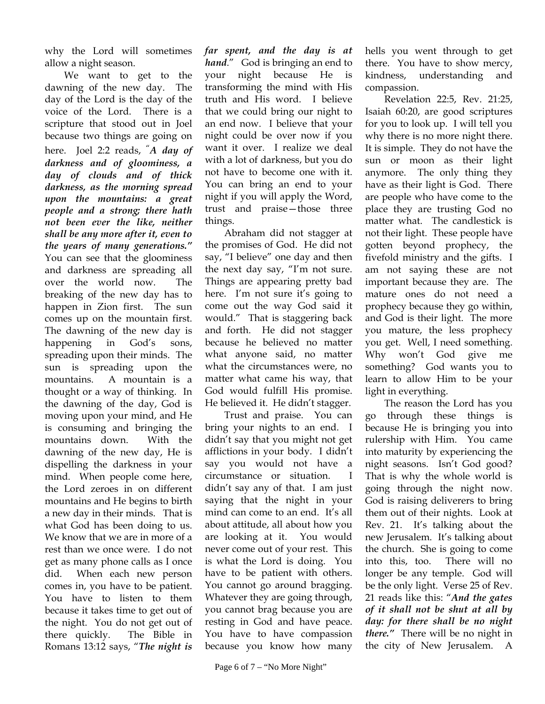why the Lord will sometimes allow a night season.

We want to get to the dawning of the new day. The day of the Lord is the day of the voice of the Lord. There is a scripture that stood out in Joel because two things are going on here. Joel 2:2 reads, "*A day of darkness and of gloominess, a day of clouds and of thick darkness, as the morning spread upon the mountains: a great people and a strong; there hath not been ever the like, neither shall be any more after it, even to the years of many generations."* You can see that the gloominess and darkness are spreading all over the world now. The breaking of the new day has to happen in Zion first. The sun comes up on the mountain first. The dawning of the new day is happening in God's sons, spreading upon their minds. The sun is spreading upon the mountains. A mountain is a thought or a way of thinking. In the dawning of the day, God is moving upon your mind, and He is consuming and bringing the mountains down. With the dawning of the new day, He is dispelling the darkness in your mind. When people come here, the Lord zeroes in on different mountains and He begins to birth a new day in their minds. That is what God has been doing to us. We know that we are in more of a rest than we once were. I do not get as many phone calls as I once did. When each new person comes in, you have to be patient. You have to listen to them because it takes time to get out of the night. You do not get out of there quickly. The Bible in Romans 13:12 says, "*The night is* 

*far spent, and the day is at hand*." God is bringing an end to your night because He is transforming the mind with His truth and His word. I believe that we could bring our night to an end now. I believe that your night could be over now if you want it over. I realize we deal with a lot of darkness, but you do not have to become one with it. You can bring an end to your night if you will apply the Word, trust and praise—those three things.

Abraham did not stagger at the promises of God. He did not say, "I believe" one day and then the next day say, "I'm not sure. Things are appearing pretty bad here. I'm not sure it's going to come out the way God said it would." That is staggering back and forth. He did not stagger because he believed no matter what anyone said, no matter what the circumstances were, no matter what came his way, that God would fulfill His promise. He believed it. He didn't stagger.

Trust and praise. You can bring your nights to an end. I didn't say that you might not get afflictions in your body. I didn't say you would not have a circumstance or situation. I didn't say any of that. I am just saying that the night in your mind can come to an end. It's all about attitude, all about how you are looking at it. You would never come out of your rest. This is what the Lord is doing. You have to be patient with others. You cannot go around bragging. Whatever they are going through, you cannot brag because you are resting in God and have peace. You have to have compassion because you know how many

hells you went through to get there. You have to show mercy, kindness, understanding and compassion.

Revelation 22:5, Rev. 21:25, Isaiah 60:20, are good scriptures for you to look up. I will tell you why there is no more night there. It is simple. They do not have the sun or moon as their light anymore. The only thing they have as their light is God. There are people who have come to the place they are trusting God no matter what. The candlestick is not their light. These people have gotten beyond prophecy, the fivefold ministry and the gifts. I am not saying these are not important because they are. The mature ones do not need a prophecy because they go within, and God is their light. The more you mature, the less prophecy you get. Well, I need something. Why won't God give me something? God wants you to learn to allow Him to be your light in everything.

The reason the Lord has you go through these things is because He is bringing you into rulership with Him. You came into maturity by experiencing the night seasons. Isn't God good? That is why the whole world is going through the night now. God is raising deliverers to bring them out of their nights. Look at Rev. 21. It's talking about the new Jerusalem. It's talking about the church. She is going to come into this, too. There will no longer be any temple. God will be the only light. Verse 25 of Rev. 21 reads like this: "*And the gates of it shall not be shut at all by day: for there shall be no night there."* There will be no night in the city of New Jerusalem. A